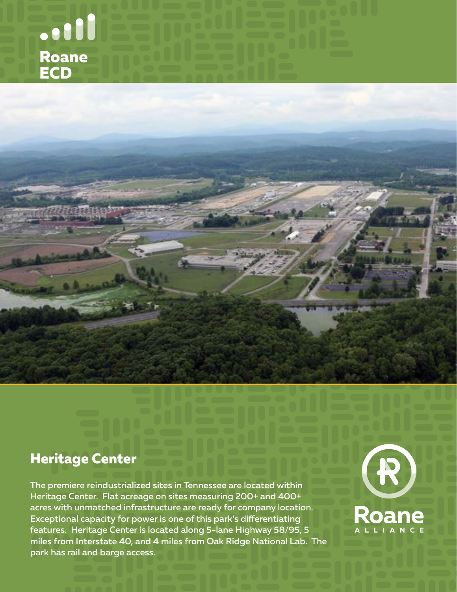



### **Heritage Center**

The premiere reindustrialized sites in Tennessee are located within Heritage Center. Flat acreage on sites measuring 200+ and 400+ acres with unmatched infrastructure are ready for company location. Exceptional capacity for power is one of this park's differentiating features. Heritage Center is located along 5-lane Highway 58/95, 5 miles from Interstate 40, and 4 miles from Oak Ridge National Lab. The park has rail and barge access.